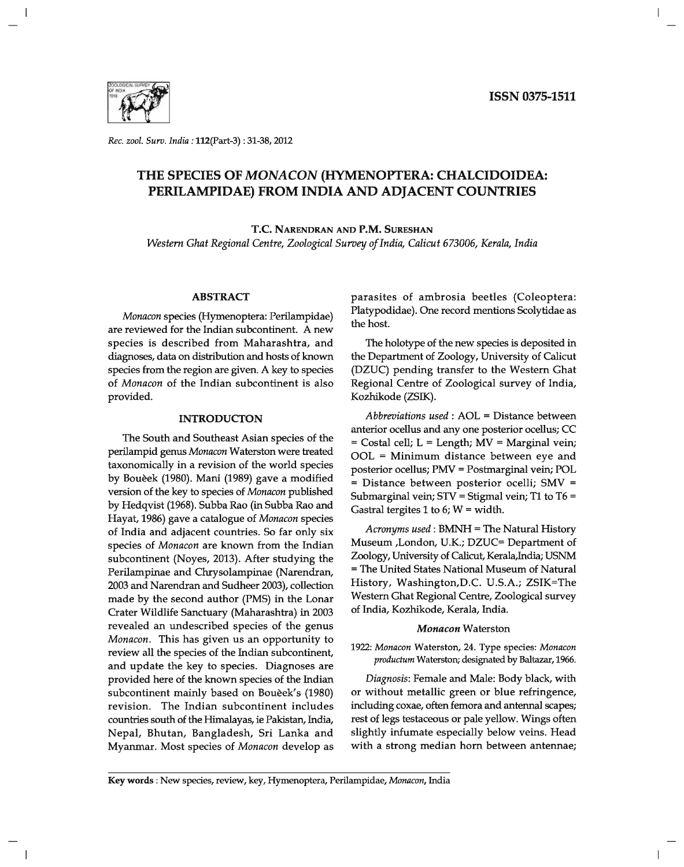

*Rec. zool. Surv. India:* 112(part-3) : 31-38, 2012

# **THE SPECIES OF** *MONA CON* **(HYMENOPTERA: CHALCIDOIDEA: PERILAMPIDAE) FROM INDIA AND ADJACENT COUNTRIES**

T.C. NARENDRAN AND P.M. SURESHAN

*Western Ghat Regional Centre, Zoological Survey of India, Calicut 673006, Kerala, India* 

#### **ABSTRACT**

*Monacon* species (Hymenoptera: Perilampidae) are reviewed for the Indian subcontinent. A new species is described from Maharashtra, and diagnoses, data on distribution and hosts of known species from the region are given. A key to species of *Monacon* of the Indian subcontinent is also provided.

#### **INTRODUCTON**

The South and Southeast Asian species of the perilampid genus *Monacon* Waterston were treated taxonomically in a revision of the world species by Bouèek (1980). Mani (1989) gave a modified version of the key to species of *Monacon* published by Hedqvist (1968). Subba Rao (in Subba Rao and Hayat, 1986) gave a catalogue of *Monacon* species of India and adjacent countries. So far only six species of *Monacon* are known from the Indian subcontinent (Noyes, 2013). After studying the Perilampinae and Chrysolampinae (Narendran, 2003 and Narendran and Sudheer 2003), collection made by the second author (PMS) in the Lonar Crater Wildlife Sanctuary (Maharashtra) in 2003 revealed an undescribed species of the genus *Monacon.* This has given us an opportunity to review all the species of the Indian subcontinent, and update the key to species. Diagnoses are provided here of the known species of the Indian subcontinent mainly based on Bouèek's (1980) revision. The Indian subcontinent includes countries south of the Himalayas, ie Pakistan, India, Nepal, Bhutan, Bangladesh, Sri Lanka and Myanmar. Most species of *Monacon* develop as parasites of ambrosia beetles (Coleoptera: Platypodidae). One record mentions Scolytidae as the host.

The holotype of the new species is deposited in the Department of Zoology, University of Calicut (DZUC) pending transfer to the Western Ghat Regional Centre of Zoological survey of India, Kozhikode (ZSIK).

*Abbreviations used* : AOL = Distance between anterior ocellus and anyone posterior ocellus; CC = Costal cell; L = Length; MV = Marginal vein; OOL = Minimum distance between eye and posterior ocellus; PMV = Postmarginal vein; POL = Distance between posterior ocelli; SMV = Submarginal vein; STY = Stigmal vein; T1 to T6 = Gastral tergites 1 to 6;  $W = \text{width}$ .

*Acronyms used:* BMNH = The Natural History Museum ,London, U.K.; DZUC= Department of Zoology, University of Calicut, Kerala,India; USNM = The United States National Museum of Natural History, Washington,D.C. U.S.A.; ZSIK=The Western Ghat Regional Centre, Zoological survey of India, Kozhikode, Kerala, India.

#### *Monacon* Waterston

*1922: Monacon* Waterston, 24. Type species: *Monacon productum* Waterston; designated by Baltazar, 1966.

*Diagnosis:* Female and Male: Body black, with or without metallic green or blue refringence, including coxae, often femora and antennal scapes; rest of legs testaceous or pale yellow. Wings often slightly infumate especially below veins. Head with a strong median horn between antennae;

Key words: New species, review, key, Hymenoptera, Perilampidae, *Monacon,* India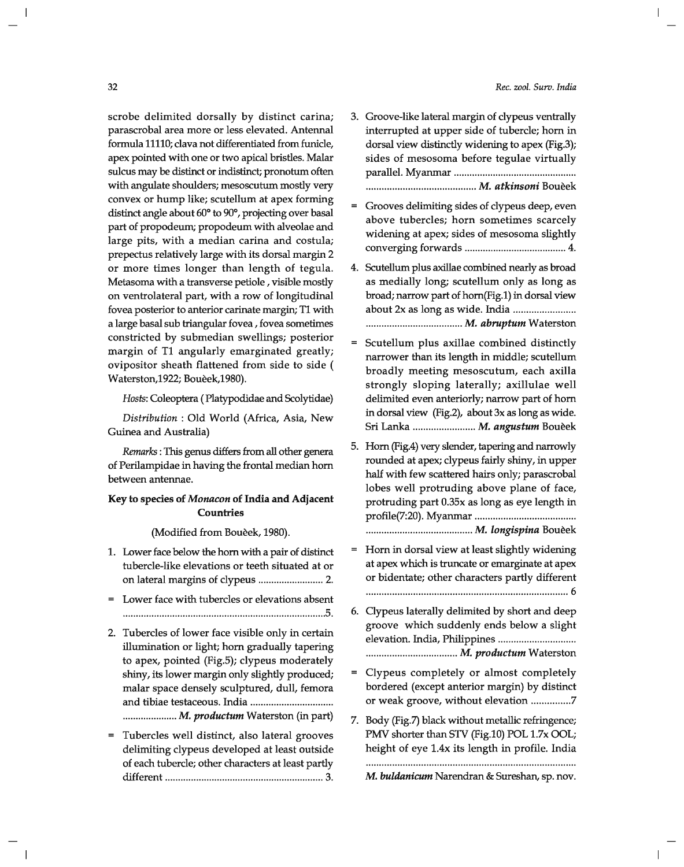#### *Rec. zool. Surv. India*

scrobe delimited dorsally by distinct carina; parascrobal area more or less elevated. Antennal formula 11110; clava not differentiated from funicle, apex pointed with one or two apical bristles. Malar sulcus may be distinct or indistinct; pronotum often with angulate shoulders; mesoscutum mostly very convex or hump like; scutellum at apex forming distinct angle about 60° to 90°, projecting over basal part of propodeum; propodeum with alveolae and large pits, with a median carina and costula; prepectus relatively large with its dorsal margin 2 or more times longer than length of tegula. Metasoma with a transverse petiole, visible mostly on ventrolateral part, with a row of longitudinal fovea posterior to anterior carinate margin; T1 with a large basal sub triangular fovea, fovea sometimes constricted by submedian swellings; posterior margin of Tl angularly emarginated greatly; ovipositor sheath flattened from side to side ( Waterston,1922; Boueek,1980).

*Hosts:* Coleoptera (Platypodidae and Scolytidae)

*Distribution:* Old World (Africa, Asia, New Guinea and Australia)

*Remarks:* This genus differs from all other genera of Perilampidae in having the frontal median horn between antennae.

## Key to species of *Monacon* of India and Adjacent **Countries**

(Modified from Bouèek, 1980).

- 1. Lower face below the horn with a pair of distinct tubercle-like elevations or teeth situated at or on lateral margins of clypeus ......................... 2.
- Lower face with tubercles or elevations absent ............................................................................. .5.
- 2. Tubercles of lower face visible only in certain illumination or light; horn gradually tapering to apex, pointed (Fig.5); clypeus moderately shiny, its lower margin only slightly produced; malar space densely sculptured, dull, femora and tibiae testaceous. India ............................... . ..................... M. *productum* Waterston (in part)
- Tubercles well distinct, also lateral grooves delimiting clypeus developed at least outside of each tubercle; other characters at least partly different ............................................................. 3.
- 3. Groove-like lateral margin of clypeus ventrally interrupted at upper side of tubercle; horn in dorsal view distinctly widening to apex (Fig.3); sides of mesosoma before tegulae virtually parallel. Myanmar .............................................. . .......................................... M. *atkinsoni* Boueek
- Grooves delimiting sides of clypeus deep, even above tubercles; horn sometimes scarcely widening at apex; sides of mesosoma slightly converging forwards ....................................... 4.
- 4. Scutellum plus axillae combined nearly as broad as medially long; scutellum only as long as broad; narrow part of horn(Fig.l) in dorsal view about 2x as long as wide. India ....................... . ..................................... M. *abruptum* Waterston
- $=$ Scutellum plus axillae combined distinctly narrower than its length in middle; scutellum broadly meeting mesoscutum, each axilla strongly sloping laterally; axillulae well delimited even anteriorly; narrow part of horn in dorsal view (Fig.2), about 3x as long as wide. Sri Lanka ........................ M. *angus tum* Boueek
- 5. Horn (Fig.4) very slender, tapering and narrowly rounded at apex; clypeus fairly shiny, in upper half with few scattered hairs only; parascrobal lobes well protruding above plane of face, protruding part 0.35x as long as eye length in profile(7:20). Myanmar ...................................... . ......................................... M. *longispina* Boueek
- Horn in dorsal view at least slightly widening at apex which is truncate or emarginate at apex or bidentate; other characters partly different . ............................................................................ 6
- 6. Clypeus laterally delimited by short and deep groove which suddenly ends below a slight elevation. India, Philippines ............................. . ................................... M. *productum* Waterston
- Clypeus completely or almost completely  $=$ bordered (except anterior margin) by distinct or weak groove, without elevation ............... 7
- 7. Body (Fig.7) black without metallic refringence; PMV shorter than STV (Fig.10) POL 1.7x OOL; height of eye l.4x its length in profile. India

M. *buldanicum* Narendran & Sureshan, sp. nov.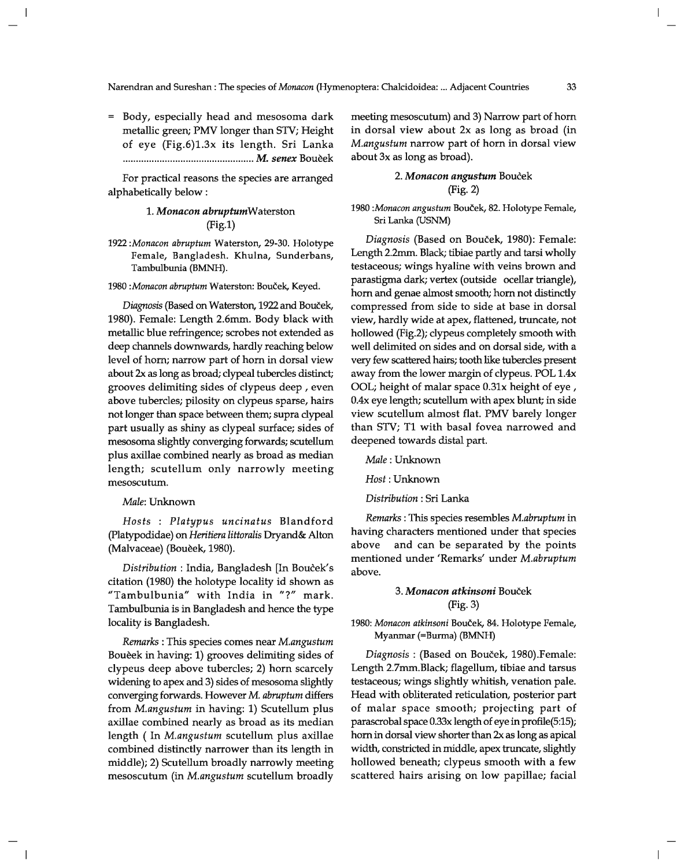= Body, especially head and mesosoma dark metallic green; PMV longer than STV; Height of eye (Fig.6)1.3x its length. Sri Lanka .................................................. M. *senex* Boueek

For practical reasons the species are arranged alphabetically below:

## *1. Monacon abruptumWaterston*  (Fig.1)

*1922 :Monacon abruptum* Waterston, 29-30. Holotype Female, Bangladesh. Khulna, Sunderbans, Tambulbunia (BMNH).

1980 : Monacon abruptum Waterston: Bouček, Keyed.

*Diagnosis* (Based on Waterston, 1922 and Boucek, 1980). Female: Length 2.6mm. Body black with metallic blue refringence; scrobes not extended as deep channels downwards, hardly reaching below level of hom; narrow part of hom in dorsal view about 2x as long as broad; clypeal tubercles distinct; grooves delimiting sides of clypeus deep, even above tubercles; pilosity on clypeus sparse, hairs not longer than space between them; supra clypeal part usually as shiny as clypeal surface; sides of mesosoma slightly converging forwards; scutellum plus axillae combined nearly as broad as median length; scutellum only narrowly meeting mesoscutum.

#### *Male:* Unknown

*Hosts* : *Platypus uncinatus* Blandford (platypodidae) on *Heritiera littoralis* Dryand& Alton (Malvaceae) (Bouèek, 1980).

*Distribution:* India, Bangladesh [In Boucek's citation (1980) the holotype locality id shown as "Tambulbunia" with India in "?" mark. Tambulbunia is in Bangladesh and hence the type locality is Bangladesh.

*Remarks:* This species comes near *M.angustum*  Boueek in having: 1) grooves delimiting sides of clypeus deep above tubercles; 2) hom scarcely widening to apex and 3) sides of mesosoma slightly converging forwards. However M. *abruptum* differs from *M.angustum* in having: 1) Scutellum plus axillae combined nearly as broad as its median length ( In *M.angustum* scutellum plus axillae combined distinctly narrower than its length in middle); 2) Scutellum broadly narrowly meeting mesoscutum (in *M.angustum* scutellum broadly meeting mesoscutum) and 3) Narrow part of hom in dorsal view about 2x as long as broad (in *M.angustum* narrow part of horn in dorsal view about 3x as long as broad) .

## *2. Monacon angustum* Boucek (Fig. 2)

### *1980 :Monacon angus tum* Boucek, 82. Holotype Female, Sri Lanka (USNM)

*Diagnosis* (Based on Boucek, 1980): Female: Length 2.2mm. Black; tibiae partly and tarsi wholly testaceous; wings hyaline with veins brown and parastigma dark; vertex (outside ocellar triangle), hom and genae almost smooth; hom not distinctly compressed from side to side at base in dorsal view, hardly wide at apex, flattened, truncate, not hollowed (Fig.2); clypeus completely smooth with well delimited on sides and on dorsal side, with a very few scattered hairs; tooth like tubercles present away from the lower margin of clypeus. POL 1.4x OOL; height of malar space 0.3lx height of eye, 0.4x eye length; scutellum with apex blunt; in side view scutellum almost flat. PMV barely longer than STY; T1 with basal fovea narrowed and deepened towards distal part.

*Male:* Unknown

*Host:* Unknown

*Distribution:* Sri Lanka

*Remarks:* This species resembles *M.abruptum* in having characters mentioned under that species above and can be separated by the points mentioned under 'Remarks' under *M.abruptum*  above.

### *3. Monacon atkinsoni* Boucek (Fig. 3)

#### *1980: Monacon atkinsoni* Boucek, 84. Holotype Female, Myanmar (=Burma) (BMNH)

*Diagnosis:* (Based on Boucek, 1980).Female: Length 2.7mm.Black; flagellum, tibiae and tarsus testaceous; wings slightly whitish, venation pale. Head with obliterated reticulation, posterior part of malar space smooth; projecting part of parascrobal space 0.33x length of eye in profile(5:15); hom in dorsal view shorter than 2x as long as apical width, constricted in middle, apex truncate, slightly hollowed beneath; clypeus smooth with a few scattered hairs arising on low papillae; facial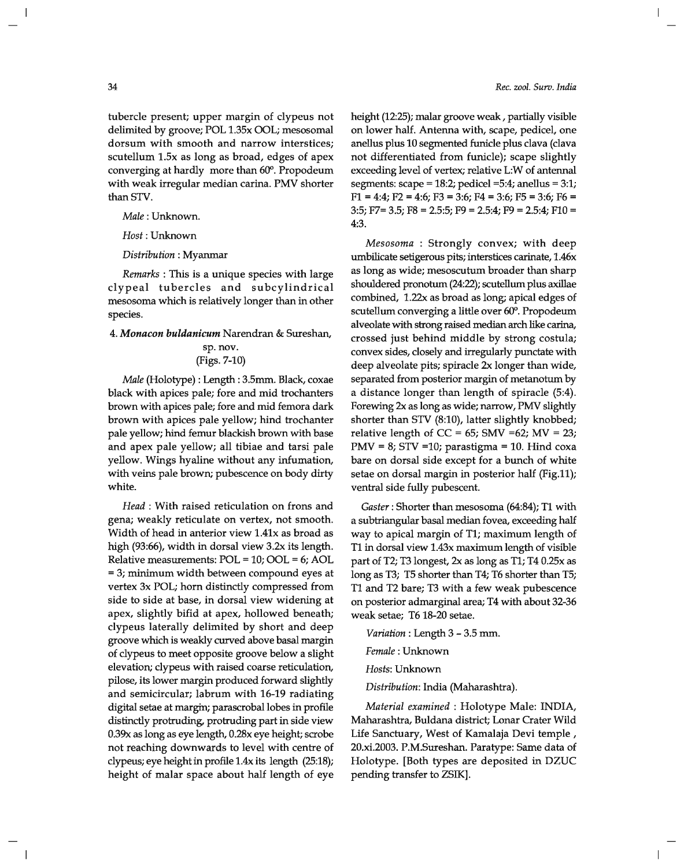tubercle present; upper margin of clypeus not delimited by groove; POL 1.35x OOL; mesosomal dorsum with smooth and narrow interstices; scutellum 1.5x as long as broad, edges of apex converging at hardly more than 60°. Propodeum with weak irregular median carina. PMV shorter than STV.

*Male:* Unknown.

*Host:* Unknown

*Distribution:* Myanmar

*Remarks* : This is a unique species with large clypeal tubercles and subcylindrical mesosoma which is relatively longer than in other species.

*4. Monacon buldanicum* Narendran & Sureshan,

### sp. nov. (Figs. 7-10)

*Male* (Holotype) : Length: 3.5mm. Black, coxae black with apices pale; fore and mid trochanters brown with apices pale; fore and mid femora dark brown with apices pale yellow; hind trochanter pale yellow; hind femur blackish brown with base and apex pale yellow; all tibiae and tarsi pale yellow. Wings hyaline without any infumation, with veins pale brown; pubescence on body dirty white.

*Head* : With raised reticulation on frons and gena; weakly reticulate on vertex, not smooth. Width of head in anterior view 1,41x as broad as high (93:66), width in dorsal view 3.2x its length. Relative measurements: POL = 10; OOL = 6; AOL = 3; minimum width between compound eyes at vertex 3x POL; horn distinctly compressed from side to side at base, in dorsal view widening at apex, slightly bifid at apex, hollowed beneath; clypeus laterally delimited by short and deep groove which is weakly curved above basal margin of clypeus to meet opposite groove below a slight elevation; clypeus with raised coarse reticulation, pilose, its lower margin produced forward slightly and semicircular; labrum with 16-19 radiating digital setae at margin; parascrobal lobes in profile distinctly protruding, protruding part in side view 0.39x as long as eye length, 0.28x eye height; scrobe not reaching downwards to level with centre of clypeus; eye height in profile l,4x its length (25:18); height of malar space about half length of eye height (12:25); malar groove weak, partially visible on lower half. Antenna with, scape, pedicel, one anellus plus 10 segmented funicle plus clava (clava not differentiated from funicle); scape slightly exceeding level of vertex; relative L:W of antennal segments: scape =  $18:2$ ; pedicel =  $5:4$ ; anellus =  $3:1$ ;  $F1 = 4:4$ ;  $F2 = 4:6$ ;  $F3 = 3:6$ ;  $F4 = 3:6$ ;  $F5 = 3:6$ ;  $F6 =$ 3:5; F7= 3.5; F8 = 2.5:5; F9 = 2.5:4; F9 = 2.5:4; FlO = 4:3.

*Mesosoma* : Strongly convex; with deep umbilicate setigerous pits; interstices carinate, 1.46x as long as wide; mesoscutum broader than sharp shouldered pronotum (24:22); scutellum plus axillae combined, 1.22x as broad as long; apical edges of scutellum converging a little over 60°. Propodeum alveolate with strong raised median arch like carina, crossed just behind middle by strong costula; convex sides, closely and irregularly punctate with deep alveolate pits; spiracle 2x longer than wide, separated from posterior margin of metanotum by a distance longer than length of spiracle (5:4). Forewing 2x as long as wide; narrow, PMV slightly shorter than STY (8:10), latter slightly knobbed; relative length of  $CC = 65$ ; SMV =62; MV = 23; PMV = 8; STV =10; parastigma = 10. Hind coxa bare on dorsal side except for a bunch of white setae on dorsal margin in posterior half (Fig.11); ventral side fully pubescent.

*Gaster:* Shorter than mesosoma (64:84); T1 with a subtriangular basal median fovea, exceeding half way to apical margin of Tl; maximum length of T1 in dorsal view 1.43x maximum length of visible part of T2; T3longest, 2x as long as T1; T4 0.25x as long as T3; T5 shorter than T4; T6 shorter than T5; Tl and T2 bare; T3 with a few weak pubescence on posterior admarginal area; T4 with about 32-36 weak setae; T6 18-20 setae.

*Variation:* Length 3 - 3.5 mm.

*Female:* Unknown

*Hosts:* Unknown

*Distribution:* India (Maharashtra).

*Material examined* : Holotype Male: INDIA, Maharashtra, Buldana district; Lonar Crater Wild Life Sanctuary, West of Kamalaja Devi temple, 20.xi.2003. P.M.Sureshan. Paratype: Same data of Holotype. [Both types are deposited in DZUC pending transfer to ZSIK].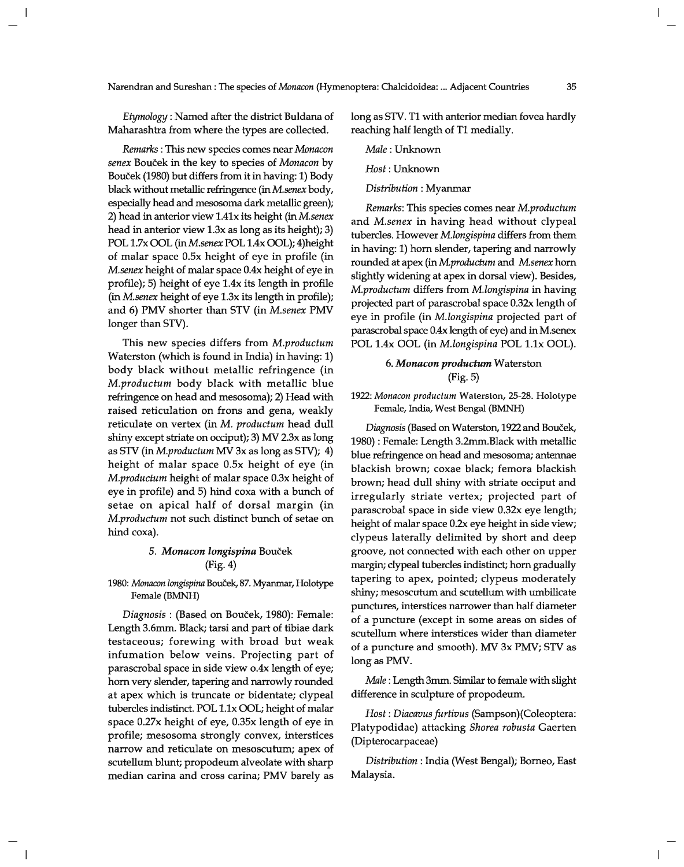*Etymology:* Named after the district Buldana of Maharashtra from where the types are collected.

*Remarks:* This new species comes near *Monacon senex* Boucek in the key to species of *Monacon* by Boucek (1980) but differs from it in having: 1) Body black without metallic refringence (in *M.senex* body, especially head and mesosoma dark metallic green); 2) head in anterior view 1.41x its height (in *M.senex*  head in anterior view 1.3x as long as its height); 3) POL 1.7x OOL (in *M.senex POL* 1.4x OOL); 4)height of malar space O.5x height of eye in profile (in *M.senex* height of malar space O.4x height of eye in profile); 5) height of eye 1.4x its length in profile (in *M.senex* height of eye 1.3x its length in profile); and 6) PMV shorter than STY (in *M.senex* PMV longer than STV).

This new species differs from *M.productum*  Waterston (which is found in India) in having: 1) body black without metallic refringence (in *M.productum* body black with metallic blue refringence on head and mesosoma); 2) Head with raised reticulation on frons and gena, weakly reticulate on vertex (in M. *productum* head dull shiny except striate on occiput); 3) MV 2.3x as long as STV (in *M.productum* MV 3x as long as STV); 4) height of malar space 0.5x height of eye (in *M.productum* height of malar space 0.3x height of eye in profile) and 5) hind coxa with a bunch of setae on apical half of dorsal margin (in *M.productum* not such distinct bunch of setae on hind coxa).

## *5. Monacon longispina* Boucek (Fig. 4)

1980: Monacon longispina Bouček, 87. Myanmar, Holotype Female (BMNH)

*Diagnosis:* (Based on Boucek, 1980): Female: Length 3.6mm. Black; tarsi and part of tibiae dark testaceous; forewing with broad but weak infumation below veins. Projecting part of parascrobal space in side view o.4x length of eye; hom very slender, tapering and narrowly rounded at apex which is truncate or bidentate; clypeal tubercles indistinct. POL 1.lx DOL; height of malar space 0.27x height of eye, 0.35x length of eye in profile; mesosoma strongly convex, interstices narrow and reticulate on mesoscutum; apex of scutellum blunt; propodeum alveolate with sharp median carina and cross carina; PMV barely as long as STV. T1 with anterior median fovea hardly reaching half length of T1 medially.

*Male:* Unknown

*Host:* Unknown

*Distribution:* Myanmar

*Remarks:* This species comes near *M.productum*  and *M.senex* in having head without clypeal tubercles. However *M.longispina* differs from them in having: 1) hom slender, tapering and narrowly rounded at apex (in *M.productum* and *M.senex* hom slightly widening at apex in dorsal view). Besides, *M.productum* differs from *M.longispina* in having projected part of parascrobal space 0.32x length of eye in profile (in *M.longispina* projected part of parascrobal space 0.4x length of eye) and in M.senex POL l.4x OOL (in *M.longispina* POL 1.1x OOL).

## *6. Monacon productum* Waterston (Fig. 5)

*1922: Monacon productum* Waterston, 25-28. Holotype Female, India, West Bengal (BMNH)

*Diagnosis* (Based on Waterston, 1922 and Boucek, 1980) : Female: Length 3.2mm.Black with metallic blue refringence on head and mesosoma; antennae blackish brown; coxae black; femora blackish brown; head dull shiny with striate occiput and irregularly striate vertex; projected part of parascrobal space in side view 0.32x eye length; height of malar space 0.2x eye height in side view; clypeus laterally delimited by short and deep groove, not connected with each other on upper margin; clypeal tubercles indistinct; hom gradually tapering to apex, pointed; clypeus moderately shiny; mesoscutum and scutellum with umbilicate punctures, interstices narrower than half diameter of a puncture (except in some areas on sides of scutellum where interstices wider than diameter of a puncture and smooth). MV 3x PMV; STV as long as PMV.

*Male:* Length 3mm. Similar to female with slight difference in sculpture of propodeum.

*Host: Diacavus furtivus* (Sampson)(Coleoptera: Platypodidae) attacking *Shorea robusta* Gaerten (Dipterocarpaceae)

*Distribution:* India (West Bengal); Borneo, East Malaysia.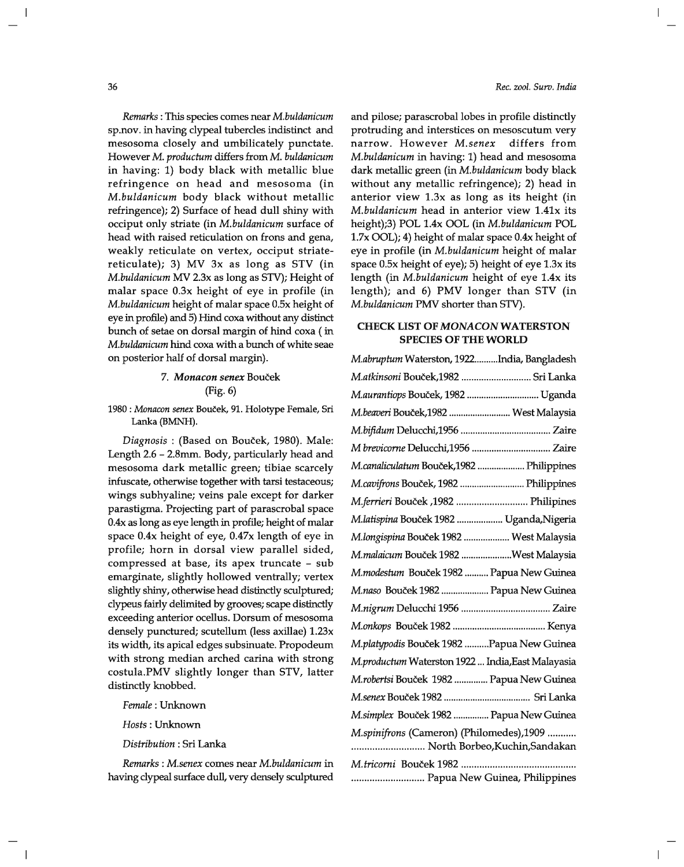*Remarks:* This species comes near *M.buldanicum*  sp.nov. in having clypeal tubercles indistinct and mesosoma closely and umbilicately punctate. However M. *productum* differs from M. *buldanicum*  in having: 1) body black with metallic blue refringence on head and mesosoma (in *M.buldanicum* body black without metallic refringence); 2) Surface of head dull shiny with occiput only striate (in *M.buldanicum* surface of head with raised reticulation on frons and gena, weakly reticulate on vertex, occiput striatereticulate); 3) MV 3x as long as STY (in *M.buldanicum* MV 2.3x as long as STY); Height of malar space 0.3x height of eye in profile (in *M.buldanicum* height of malar space O.5x height of eye in profile) and 5) Hind coxa without any distinct bunch of setae on dorsal margin of hind coxa ( in *M.buldanicum* hind coxa with a bunch of white seae on posterior half of dorsal margin).

# *7. Monacon senex* Boucek (Fig. 6)

1980 : *Monacon senex* Boucek, 91. Holotype Female, Sri Lanka (BMNH).

*Diagnosis:* (Based on Boucek, 1980). Male: Length 2.6 - 2.8mm. Body, particularly head and mesosoma dark metallic green; tibiae scarcely infuscate, otherwise together with tarsi testaceous; wings subhyaline; veins pale except for darker parastigma. Projecting part of parascrobal space 0.4x as long as eye length in profile; height of malar space *OAx* height of eye, *OA7x* length of eye in profile; horn in dorsal view parallel sided, compressed at base, its apex truncate - sub emarginate, slightly hollowed ventrally; vertex slightly shiny, otherwise head distinctly sculptured; clypeus fairly delimited by grooves; scape distinctly exceeding anterior ocellus. Dorsum of mesosoma densely punctured; scutellum (less axillae) 1.23x its width, its apical edges subsinuate. Propodeum with strong median arched carina with strong costula.PMV slightly longer than STY, latter distinctly knobbed.

*Female:* Unknown

*Hosts:* Unknown

*Distribution:* Sri Lanka

*Remarks: M.senex* comes near *M.buldanicum* in having clypeal surface dull, very densely sculptured

*Rec. zool. Surv. India* 

and pilose; parascrobal lobes in profile distinctly protruding and interstices on mesoscutum very narrow. However *M.senex* differs from *M.buldanicum* in having: 1) head and mesosoma dark metallic green (in *M.buldanicum* body black without any metallic refringence); 2) head in anterior view 1.3x as long as its height (in *M.buldanicum* head in anterior view 1.41x its height);3) POL *lAx* OOL (in *M.buldanicum* POL 1.7x OOL); 4) height of malar space *OAx* height of eye in profile (in *M.buldanicum* height of malar space O.5x height of eye); 5) height of eye 1.3x its length (in *M.buldanicum* height of eye 1.4x its length); and 6) PMV longer than STY (in *M.buldanicum* PMV shorter than STY).

#### **CHECK LIST OF MONACONWATERSTON SPECIES OF THE WORLD**

| M.abruptum Waterston, 1922India, Bangladesh                                |
|----------------------------------------------------------------------------|
| M.atkinsoni Bouček,1982  Sri Lanka                                         |
| M.aurantiops Bouček, 1982  Uganda                                          |
| M.beaveri Bouček,1982  West Malaysia                                       |
|                                                                            |
|                                                                            |
| M.canaliculatum Bouček,1982  Philippines                                   |
| M.cavifrons Bouček, 1982  Philippines                                      |
| M.ferrieri Bouček ,1982  Philipines                                        |
| M.latispina Bouček 1982  Uganda,Nigeria                                    |
| M.longispina Bouček 1982  West Malaysia                                    |
| M.malaicum Bouček 1982 West Malaysia                                       |
| M.modestum Bouček 1982  Papua New Guinea                                   |
| M.naso Bouček 1982  Papua New Guinea                                       |
|                                                                            |
|                                                                            |
| M.platypodis Bouček 1982  Papua New Guinea                                 |
| M.productum Waterston 1922  India, East Malayasia                          |
| M.robertsi Bouček 1982  Papua New Guinea                                   |
|                                                                            |
| M.simplex Bouček 1982  Papua New Guinea                                    |
| M.spinifrons (Cameron) (Philomedes),1909<br>North Borbeo, Kuchin, Sandakan |
|                                                                            |
| Papua New Guinea, Philippines                                              |

36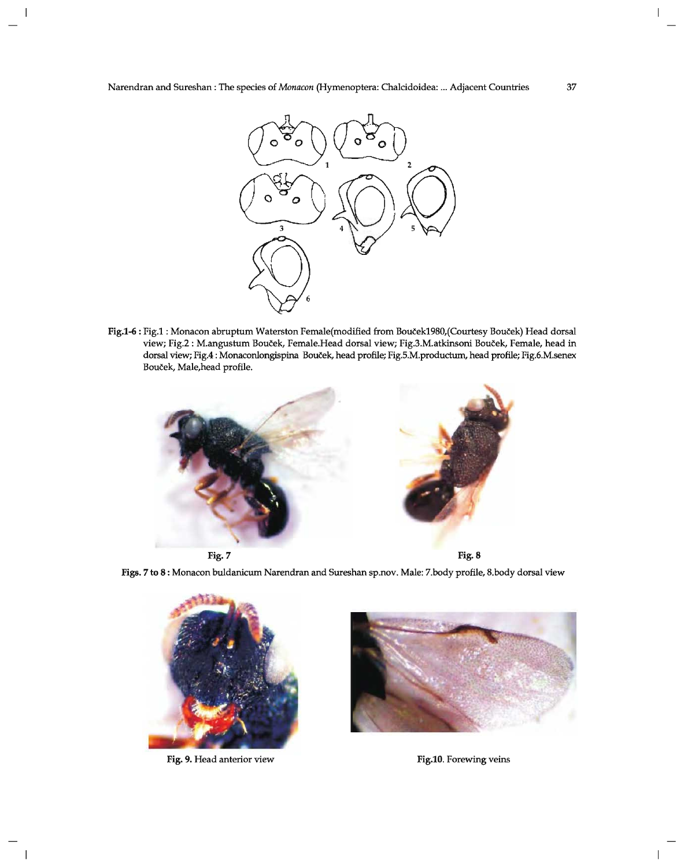

Fig.1-6 : Fig.1 : Monacon abruptum Waterston Female(modified from Bouček1980,(Courtesy Bouček) Head dorsal view; Fig.2 : M.angustum Boucek, Female.Head dorsal view; Fig.3.M.atkinsoni Boucek, Female, head in dorsal view; Fig.4 : Monaconlongispina Bouček, head profile; Fig.5.M.productum, head profile; Fig.6.M.senex Bouček, Male, head profile.





Figs. 7 to 8 : Monacon buldanicum Narendran and Sureshan sp.nov. Male: 7.body profile, 8.body dorsal view



Fig. 9. Head anterior view Fig. 10. Forewing veins



 $\overline{1}$ 

 $\overline{\phantom{a}}$